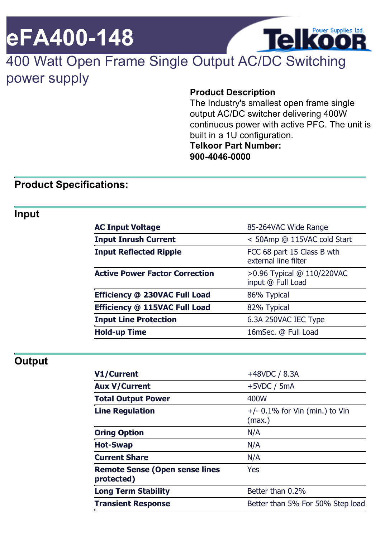# **eFA400-148**

# 400 Watt Open Frame Single Output AC/DC Switching power supply

#### **Product Description**

The Industry's smallest open frame single output AC/DC switcher delivering 400W continuous power with active PFC. The unit is built in a 1U configuration. **Telkoor Part Number: 900-4046-0000**

**Telkoor** 

#### **Product Specifications:**

#### **Input**

| <b>AC Input Voltage</b>               | 85-264VAC Wide Range                               |
|---------------------------------------|----------------------------------------------------|
| <b>Input Inrush Current</b>           | < 50Amp @ 115VAC cold Start                        |
| <b>Input Reflected Ripple</b>         | FCC 68 part 15 Class B wth<br>external line filter |
| <b>Active Power Factor Correction</b> | >0.96 Typical @ 110/220VAC<br>input @ Full Load    |
| Efficiency @ 230VAC Full Load         | 86% Typical                                        |
| Efficiency @ 115VAC Full Load         | 82% Typical                                        |
| <b>Input Line Protection</b>          | 6.3A 250VAC IEC Type                               |
| <b>Hold-up Time</b>                   | 16mSec. @ Full Load                                |

#### **Output**

| V1/Current                                          | $+48VDC / 8.3A$                            |
|-----------------------------------------------------|--------------------------------------------|
| <b>Aux V/Current</b>                                | $+5VDC / 5mA$                              |
| <b>Total Output Power</b>                           | 400W                                       |
| <b>Line Regulation</b>                              | $+/-$ 0.1% for Vin (min.) to Vin<br>(max.) |
| <b>Oring Option</b>                                 | N/A                                        |
| <b>Hot-Swap</b>                                     | N/A                                        |
| <b>Current Share</b>                                | N/A                                        |
| <b>Remote Sense (Open sense lines</b><br>protected) | Yes                                        |
| <b>Long Term Stability</b>                          | Better than 0.2%                           |
| <b>Transient Response</b>                           | Better than 5% For 50% Step load           |
|                                                     |                                            |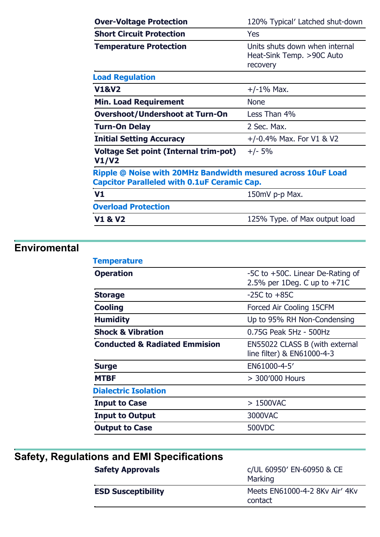| <b>Over-Voltage Protection</b>                                                                                     | 120% Typical' Latched shut-down                                         |
|--------------------------------------------------------------------------------------------------------------------|-------------------------------------------------------------------------|
| <b>Short Circuit Protection</b>                                                                                    | <b>Yes</b>                                                              |
| <b>Temperature Protection</b>                                                                                      | Units shuts down when internal<br>Heat-Sink Temp. >90C Auto<br>recovery |
| <b>Load Regulation</b>                                                                                             |                                                                         |
| <b>V1&amp;V2</b>                                                                                                   | $+/-1\%$ Max.                                                           |
| <b>Min. Load Requirement</b>                                                                                       | <b>None</b>                                                             |
| <b>Overshoot/Undershoot at Turn-On</b>                                                                             | Less Than 4%                                                            |
| <b>Turn-On Delay</b>                                                                                               | 2 Sec. Max.                                                             |
| <b>Initial Setting Accuracy</b>                                                                                    | $+/-0.4\%$ Max. For V1 & V2                                             |
| Voltage Set point (Internal trim-pot)<br>V1/V2                                                                     | $+/- 5%$                                                                |
| Ripple @ Noise with 20MHz Bandwidth mesured across 10uF Load<br><b>Capcitor Paralleled with 0.1uF Ceramic Cap.</b> |                                                                         |
| V <sub>1</sub>                                                                                                     | 150mV p-p Max.                                                          |
| <b>Overload Protection</b>                                                                                         |                                                                         |
| <b>V1 &amp; V2</b>                                                                                                 | 125% Type. of Max output load                                           |

# **Enviromental**

| <b>Temperature</b>                       |                                                                   |
|------------------------------------------|-------------------------------------------------------------------|
| <b>Operation</b>                         | -5C to +50C. Linear De-Rating of<br>2.5% per 1Deg. C up to $+71C$ |
| <b>Storage</b>                           | $-25C$ to $+85C$                                                  |
| <b>Cooling</b>                           | Forced Air Cooling 15CFM                                          |
| <b>Humidity</b>                          | Up to 95% RH Non-Condensing                                       |
| <b>Shock &amp; Vibration</b>             | 0.75G Peak 5Hz - 500Hz                                            |
| <b>Conducted &amp; Radiated Emmision</b> | EN55022 CLASS B (with external<br>line filter) & EN61000-4-3      |
| <b>Surge</b>                             | EN61000-4-5'                                                      |
| <b>MTBF</b>                              | > 300'000 Hours                                                   |
| <b>Dialectric Isolation</b>              |                                                                   |
| <b>Input to Case</b>                     | > 1500VAC                                                         |
| <b>Input to Output</b>                   | 3000VAC                                                           |
| <b>Output to Case</b>                    | <b>500VDC</b>                                                     |
|                                          |                                                                   |

| Safety, Regulations and EMI Specifications |                                           |
|--------------------------------------------|-------------------------------------------|
| <b>Safety Approvals</b>                    | c/UL 60950' EN-60950 & CE<br>Marking      |
| <b>ESD Susceptibility</b>                  | Meets EN61000-4-2 8Ky Air' 4Ky<br>contact |
|                                            |                                           |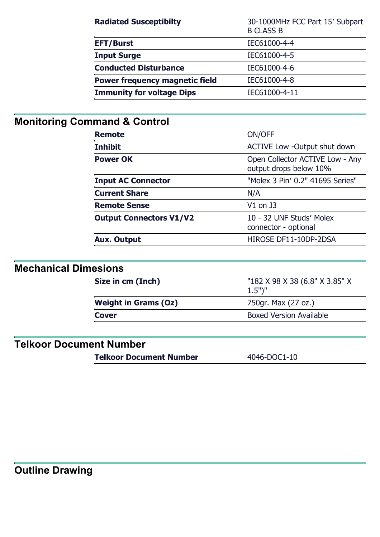| <b>Radiated Susceptibilty</b>         | 30-1000MHz FCC Part 15' Subpart<br><b>B CLASS B</b> |
|---------------------------------------|-----------------------------------------------------|
| <b>EFT/Burst</b>                      | IEC61000-4-4                                        |
| <b>Input Surge</b>                    | IEC61000-4-5                                        |
| <b>Conducted Disturbance</b>          | IEC61000-4-6                                        |
| <b>Power frequency magnetic field</b> | IEC61000-4-8                                        |
| <b>Immunity for voltage Dips</b>      | IEC61000-4-11                                       |

# **Monitoring Command & Control**

| <b>Remote</b>                  | ON/OFF                                                    |
|--------------------------------|-----------------------------------------------------------|
| <b>Inhibit</b>                 | <b>ACTIVE Low -Output shut down</b>                       |
| <b>Power OK</b>                | Open Collector ACTIVE Low - Any<br>output drops below 10% |
| <b>Input AC Connector</b>      | "Molex 3 Pin' 0.2" 41695 Series"                          |
| <b>Current Share</b>           | N/A                                                       |
| <b>Remote Sense</b>            | $V1$ on J3                                                |
| <b>Output Connectors V1/V2</b> | 10 - 32 UNF Studs' Molex<br>connector - optional          |
| <b>Aux. Output</b>             | HIROSE DF11-10DP-2DSA                                     |

# **Mechanical Dimesions**

| Size in cm (Inch)           | "182 X 98 X 38 (6.8" X 3.85" X<br>$1.5"$ " |
|-----------------------------|--------------------------------------------|
| <b>Weight in Grams (Oz)</b> | 750gr. Max (27 oz.)                        |
| <b>Cover</b>                | <b>Boxed Version Available</b>             |
|                             |                                            |

### **Telkoor Document Number**

**Telkoor Document Number** 4046-DOC1-10